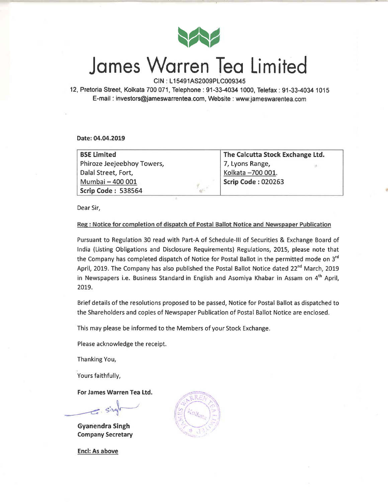

## Jomes Worren Teo Limited

CIN : L15491AS2009PLC009345

12, Pretoria Street, Kolkata 700 071, Telephone: 91-33-4034 1000, Telefax: 91-33-4034 1015 E-mail : investors@jameswarrentea.com, Website : www.jameswarentea.com

Date:04.04.2019

| <b>BSE Limited</b>                                      | The Calcutta Stock Exchange Ltd. |  |  |  |
|---------------------------------------------------------|----------------------------------|--|--|--|
| Phiroze Jeejeebhoy Towers,                              | 7, Lyons Range,                  |  |  |  |
| Dalal Street, Fort,                                     | Kolkata -700 001.                |  |  |  |
| Mumbai - 400 001                                        | <b>Scrip Code: 020263</b>        |  |  |  |
| Scrip Code: 538564<br>$\mathfrak{B}^{\mathfrak{g}_1}$ : |                                  |  |  |  |

Dear Sir,

#### Reg: Notice for completion of dispatch of Postal Ballot Notice and Newspaper Publication

Pursuant to Regulation 30 read with Part-A of Schedule-lll of Securities & Exchange Board of India (Listing Obligations and Disclosure Requirements) Regulations, 2015, please note that the Company has completed dispatch of Notice for Postal Ballot in the permitted mode on 3<sup>rd</sup> April, 2019. The Company has also published the Postal Ballot Notice dated  $22^{nd}$  March, 2019 in Newspapers i.e. Business Standard in English and Asomiya Khabar in Assam on 4<sup>th</sup> April, 2079.

Brief details of the resolutions proposed to be passed, Notice for Postal Ballot as dispatched to the Shareholders and copies of Newspaper Publication of Postal Ballot Notice are enclosed.

This may please be informed to the Members of your Stock Exchange.

Please acknowledge the receipt.

Thanking You,

Yours faithfully,

For James Warren Tea Ltd.

 $=$   $Sve$ 

Gyanendra Singh Company Secretary  $Q$   $R$   $R$ 

Encl: As above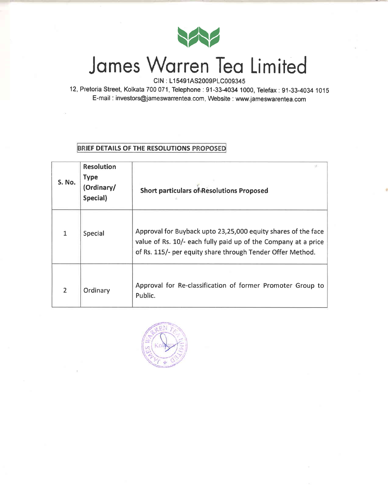

# Jomes Worren Teo Limited

CIN : L15491AS2009PLC009345

12,Pretoria Street, Kolkata 700071, Telephone : 91-33.4034 1000, Telefax : 91-33-4034 1015 E-mail : investors@jameswarrentea.com, Website : www.jameswarentea.com

#### BRIEF DETAILS OF THE RESOLUTIONS PROPOSED

| S. No.         | <b>Resolution</b><br><b>Type</b><br>(Ordinary/<br>Special) | <b>Short particulars of Resolutions Proposed</b>                                                                                                                                              |
|----------------|------------------------------------------------------------|-----------------------------------------------------------------------------------------------------------------------------------------------------------------------------------------------|
|                | Special                                                    | Approval for Buyback upto 23,25,000 equity shares of the face<br>value of Rs. 10/- each fully paid up of the Company at a price<br>of Rs. 115/- per equity share through Tender Offer Method. |
| $\overline{2}$ | Ordinary                                                   | Approval for Re-classification of former Promoter Group to<br>Public.                                                                                                                         |

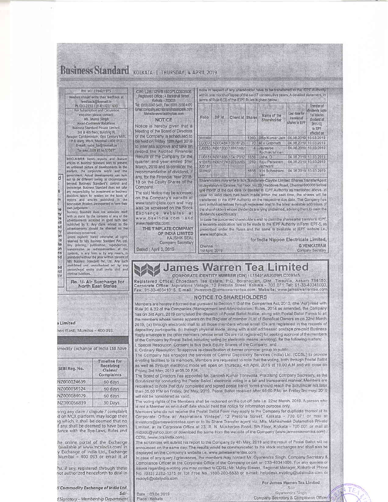|                                                                                             |                                                                                                                                                                                                                                                                                                                                                                                                                                                                                                                                                                                                                                                                       | RNI NO: 27042/1975<br>Readers should write their feedback at                                                                                                                                                                                                                                                                                      | CIN: L28112WB1920PLC003606<br>Registered Office : 4 Bankshalt Street                                                                                                                                                                                                                                                                                                                                                                                                                                                                                                                                                                                                                                                                                                                                                                                                                                                                                                                                                                                                        | more in respect of any shareholder have to be transferred to the IEPF Authority<br>within one month of lapse of the said 7 consecutive years. A detailed statement, in |                                                            |                  |                                                                                                     |                                                                                     |                                                |                                                                                        |
|---------------------------------------------------------------------------------------------|-----------------------------------------------------------------------------------------------------------------------------------------------------------------------------------------------------------------------------------------------------------------------------------------------------------------------------------------------------------------------------------------------------------------------------------------------------------------------------------------------------------------------------------------------------------------------------------------------------------------------------------------------------------------------|---------------------------------------------------------------------------------------------------------------------------------------------------------------------------------------------------------------------------------------------------------------------------------------------------------------------------------------------------|-----------------------------------------------------------------------------------------------------------------------------------------------------------------------------------------------------------------------------------------------------------------------------------------------------------------------------------------------------------------------------------------------------------------------------------------------------------------------------------------------------------------------------------------------------------------------------------------------------------------------------------------------------------------------------------------------------------------------------------------------------------------------------------------------------------------------------------------------------------------------------------------------------------------------------------------------------------------------------------------------------------------------------------------------------------------------------|------------------------------------------------------------------------------------------------------------------------------------------------------------------------|------------------------------------------------------------|------------------|-----------------------------------------------------------------------------------------------------|-------------------------------------------------------------------------------------|------------------------------------------------|----------------------------------------------------------------------------------------|
|                                                                                             |                                                                                                                                                                                                                                                                                                                                                                                                                                                                                                                                                                                                                                                                       | feedback@bsmail.in<br>Ph.033-2210 1314/1022/1600<br>For Subscription and Circulation.<br>enquiries please contact:<br>Ms. Mansi Singh<br><b>Head-Customer Relations</b><br>Business Standard Private Limited<br>3rd & 4th floor, Building H.                                                                                                      | Kolkata - 700001<br>Tel: (033) 2243 5401, Fax: (033) 2230 4170.<br>Email company, secretariatigitatatinplate.com<br>Website www.tatatingfalo.com<br><b>NOTICE</b><br>Notice is hereby given that a<br>Meeting of the Board of Directors                                                                                                                                                                                                                                                                                                                                                                                                                                                                                                                                                                                                                                                                                                                                                                                                                                     | Follo                                                                                                                                                                  | DP Id                                                      | Client id Shares |                                                                                                     | terms of Rule 6 (3) of the IEPF Rules is given below:<br>Name of the<br>Shareholder | Last date for<br>transfer of<br>shares to IEPF | Transfer of<br>dividenas (upt<br>1st interim<br>dividend of<br>$2011 - 12$<br>to IEPF  |
|                                                                                             |                                                                                                                                                                                                                                                                                                                                                                                                                                                                                                                                                                                                                                                                       | Paragon Condominium, Opp Century Mills,<br>P.B Marg, Worll, Mumbai - 400 013<br>E-mail: subs bs@bsmail.in<br>"or sms. 5UB BS to 57007"                                                                                                                                                                                                            | of the Company is scheduled to<br>be held on Friday, 12th April 2019<br>to inter alia approve and take on                                                                                                                                                                                                                                                                                                                                                                                                                                                                                                                                                                                                                                                                                                                                                                                                                                                                                                                                                                   | D00368                                                                                                                                                                 | EG0070IN300484 10838126<br>EJ0253   IN301330   18861482    |                  |                                                                                                     | 1260 Oflip Kumar Jain<br>70   M V Gopinath<br>4 Jayasree                            |                                                | effected on<br>04.08.2019 10.03.2019<br>04.08.2019 10.03.2019<br>04.08.2019 10.03.2019 |
|                                                                                             |                                                                                                                                                                                                                                                                                                                                                                                                                                                                                                                                                                                                                                                                       | DISCLAIMER News reports and feature<br>articles in Business Standard seek to present<br>an unbiased picture of developments in the                                                                                                                                                                                                                | record the Audited Financial<br>Results of the Company for the<br>quarter and year ended 31st<br>March, 2019 and to consider the                                                                                                                                                                                                                                                                                                                                                                                                                                                                                                                                                                                                                                                                                                                                                                                                                                                                                                                                            | 005187                                                                                                                                                                 | EU0151 (N301696 10417312) 1856<br>N10070 IN301774 13753265 |                  | 280                                                                                                 | Radhakrishnan<br>Lisha, D.<br>Raju Parasram<br>Jethwani                             |                                                | 04.08.2019 10.03.2019<br>04.08.2019 10.03.2019                                         |
| ď<br>6<br>m<br>je<br>'nУ<br><b>je</b><br>汕<br>3d<br>ņу<br>วท<br>is<br>iίe<br>5n<br>58<br>id | markets, the corporate world and the<br>government. Actual developments can turn<br>out to be different owing to circumstances<br>beyond Business Standard's control and<br>knowledge. Business Standard does not take<br>any responsibility for investment or business<br>decisions taken by readers on the basis of<br>reports and articles published in the<br>newspaper. Readers are expected to form their<br>own judgement.<br>Business Standard does not associate itself<br>with or stand by the contents of any of the<br>advertisements accepted in good faith and<br>published by it. Any claim related to the<br>advertisements should be directed to the | recommendation of dividend, if<br>any, for the Financial Year 2018-<br>19 on the Equity Shares of the<br>Company.<br>The said Notice may be accessed<br>on the Company's website at<br>www.tatatinplate.com and may<br>also be accessed on the Stock<br>Exchange websites at<br>www.bseindia.com and<br>www.nseindia.com.<br>THE TINPLATE COMPANY | S00907                                                                                                                                                                                                                                                                                                                                                                                                                                                                                                                                                                                                                                                                                                                                                                                                                                                                                                                                                                                                                                                                      |                                                                                                                                                                        |                                                            |                  | 1856 V H Subramani<br>Shareholders may write to M/s, Sundaram-Clayton Limited, Shares Transfer Agen |                                                                                     | 04:08.2019 10:03.2019                          |                                                                                        |
|                                                                                             |                                                                                                                                                                                                                                                                                                                                                                                                                                                                                                                                                                                                                                                                       |                                                                                                                                                                                                                                                                                                                                                   | al Jayalakshmi Estates, 1st Floor, No.29, Haddows Road, Chennai 600006 before<br>one month of the due date for transfer to IEPF Authority as mentioned above. In<br>case no valid claim has been made within the said time, the shares will be<br>transferred to the IEPF Authority on the respective due date. The Company has<br>sent individual notices through registered post to the latest available addresses o<br>the shareholders whose dividends are lying unclaimed, advising them to cialm the<br>dividends expeditiously.<br>In case the concerned shareholders wish to claim the shares after transfer to IEPF<br>a separate application has to be made to the IEPF Authority in Form IEPF-5, as<br>prescribed under the Rules and the same is available at IEPF website i.e.                                                                                                                                                                                                                                                                                 |                                                                                                                                                                        |                                                            |                  |                                                                                                     |                                                                                     |                                                |                                                                                        |
|                                                                                             | advertisers concerned.<br>OF INDIA LIMITED<br>Unless explicitly stated otherwise, all rights<br>KAUSHIK SEAL<br>reserved by Mrs Business Standard Pvt. Ltd.<br>Company Secretary<br>Any printing, publication, reproduction,<br>Dated : April 3, 2019<br>transmission or redissemination of the<br>contents, in any form or by any means, is                                                                                                                                                                                                                                                                                                                          |                                                                                                                                                                                                                                                                                                                                                   | www.lepf.gov.in.<br>for India Nippon Electricals Limited<br><b>G VENKATRAM</b><br>Chennal<br>Company Secretary<br>1st April, 2019                                                                                                                                                                                                                                                                                                                                                                                                                                                                                                                                                                                                                                                                                                                                                                                                                                                                                                                                           |                                                                                                                                                                        |                                                            |                  |                                                                                                     |                                                                                     |                                                |                                                                                        |
| ₫₫<br>ral<br>lor                                                                            | criminal liabilities.                                                                                                                                                                                                                                                                                                                                                                                                                                                                                                                                                                                                                                                 | M's Business Standard Pvt. Ltd. Any such<br>prohibited and unauthorised act by any<br>person/legal entity shall invite civil and<br>Re. 1/- Air Surcharge for<br><b>North East States</b>                                                                                                                                                         | <b>James Warren Tea Limited</b><br>CORPORATE IDENTITY NUMBER (CIN) : L15491AS2009PLC009345<br>Registered Office: Dhoedaam Tea Estate, P.O. Borahapjan, Dist. Tinsukia, Assam 786150<br>Corporate Office: Aspirations Vintage, 12 Pretoria Street, Kolkata - 700 071 Tel: 91-33-40341000<br>Fax: 91-33-40341015. E-mail: investors@jameswarrentea.com, Website: www.jameswarrentea.con                                                                                                                                                                                                                                                                                                                                                                                                                                                                                                                                                                                                                                                                                       |                                                                                                                                                                        |                                                            |                  |                                                                                                     |                                                                                     |                                                |                                                                                        |
|                                                                                             | a Limited<br>heri (East), Mumbai - 400 093.                                                                                                                                                                                                                                                                                                                                                                                                                                                                                                                                                                                                                           | imodity Exchange of India Ltd have                                                                                                                                                                                                                                                                                                                | Members are hereby informed that pursuant to Section 110 of the Companies Act, 2013, (the 'Act') read with<br>Rule 20 & 22 of the Companies (Management and Administration) Rules, 2014 as amended, the Company<br>has on 3rd April, 2019 completed the dispatch of Postal Ballot Notice, along with Postal Ballot Forms to al<br>the members whose names appears on the Register of member / List of Benefical Owners as on 22nd March<br>2019, (a) through electronic mail to all those members whose email IDs are registered in the records o<br>depository participants, (b) through physical mode, along with a self addressed postage pre-paid Business<br>Reply envelope to the other members (whose email IDs are not registered) for seeking approval of the members<br>of the Company by Postal Ballot, including voting by electronic means (e-voting), for the following matters:<br>I. Special Resolution: Consent to Buy Back Equity Shares of the Company; and<br>ii. Ordinary Resolution: To approve re-classification of former promoter group to public. |                                                                                                                                                                        | <b>NOTICE TO SHAREHOLDERS</b>                              |                  |                                                                                                     |                                                                                     |                                                |                                                                                        |
|                                                                                             | <b><i>PERMIT COMPANY</i></b><br>SEBI Reg. No.                                                                                                                                                                                                                                                                                                                                                                                                                                                                                                                                                                                                                         | Timeline for<br>Receiving<br>Claims/<br>Complaints                                                                                                                                                                                                                                                                                                | The Company has engaged the services of Central Depository Services (India) Ltd. (CDSL) to provide<br>e-voting facilities to its members. Members are requested to note that the voting, both through Postal Ballo<br>as well as through electronic mode will open on Thursday, 4th April, 2019 at 10.00 A.M and will close or<br>Friday, 3rd May, 2019 at 05.00 P.M.<br>The Board of Directors has appointed Mr. Santosh Kumar Tibrewalla, Practising Company Secretary, as the                                                                                                                                                                                                                                                                                                                                                                                                                                                                                                                                                                                            |                                                                                                                                                                        |                                                            |                  |                                                                                                     |                                                                                     |                                                |                                                                                        |
|                                                                                             | NZ000024639                                                                                                                                                                                                                                                                                                                                                                                                                                                                                                                                                                                                                                                           | 60 days                                                                                                                                                                                                                                                                                                                                           | Scrutinizer for conducting the Postal Ballot / electronic voting in a fair and transparent manner, Members an                                                                                                                                                                                                                                                                                                                                                                                                                                                                                                                                                                                                                                                                                                                                                                                                                                                                                                                                                               |                                                                                                                                                                        |                                                            |                  |                                                                                                     |                                                                                     |                                                |                                                                                        |
|                                                                                             | NZ000056524                                                                                                                                                                                                                                                                                                                                                                                                                                                                                                                                                                                                                                                           | 60 days                                                                                                                                                                                                                                                                                                                                           | requested to hote that duly completed and signed postal ballot forms should reach the Scrutinizer not fate<br>than 05.00 P.M on Friday, 3rd May, 2019. Postal Ballot received after 05:00 P.M. on Friday 3rd may, 201                                                                                                                                                                                                                                                                                                                                                                                                                                                                                                                                                                                                                                                                                                                                                                                                                                                       |                                                                                                                                                                        |                                                            |                  |                                                                                                     |                                                                                     |                                                |                                                                                        |
|                                                                                             | NZ000084029                                                                                                                                                                                                                                                                                                                                                                                                                                                                                                                                                                                                                                                           | 60 days                                                                                                                                                                                                                                                                                                                                           | will not be considered as valid.                                                                                                                                                                                                                                                                                                                                                                                                                                                                                                                                                                                                                                                                                                                                                                                                                                                                                                                                                                                                                                            |                                                                                                                                                                        |                                                            |                  |                                                                                                     |                                                                                     |                                                |                                                                                        |
|                                                                                             | NZ000056839                                                                                                                                                                                                                                                                                                                                                                                                                                                                                                                                                                                                                                                           | 30 Days<br>iving any claim / dispute / complaint<br>d on MCX platform, may lodge their<br>ig which, it shall be deemed that no<br>if any, shall be deemed to have been.<br>dance with the Bye-Laws, Rules and                                                                                                                                     | The voting rights of the Members shall be reckoned on the cut-off date i.e. 22nd March, 2019. A person whi<br>is not a Member as on cut-off date should treat this notice for information purpose only.<br>Members who do not receive the Postal Ballot Form may apply to the Company for duplicate thereof at it<br>Corporate Office at 'Aspirations Vintage', 12 Pretoria Street, Kolkata - 700 071 or mail a<br>investors@jameswarrentea.com or to its Share Transfer agent viz, M/s. Maheshwari Datamatics Privat<br>Limited, at its Corporate Office at 23, R. N. Mukharjee Road, 5th Floor, Kolkata - 700 001 or mail a<br>mdpldc@yahoo.com or download the same from the website of the Company (www.jameswarrentea.com)                                                                                                                                                                                                                                                                                                                                             |                                                                                                                                                                        |                                                            |                  |                                                                                                     |                                                                                     |                                                |                                                                                        |
|                                                                                             |                                                                                                                                                                                                                                                                                                                                                                                                                                                                                                                                                                                                                                                                       | he online portal of the Exchange<br>(available at www.mcxindia.com) in                                                                                                                                                                                                                                                                            | CDSL (www.cdslindia.com),<br>The scrutinizer will submit his report to the Company by 4th May, 2019 and the result of Postal Ballot will b<br>announced on the same day. The results would be communicated to the stock exchanges and shall also b                                                                                                                                                                                                                                                                                                                                                                                                                                                                                                                                                                                                                                                                                                                                                                                                                          |                                                                                                                                                                        |                                                            |                  |                                                                                                     |                                                                                     |                                                |                                                                                        |

amounced on the Company's website i.e. www.jameswarrentea.com<br>In case of any query / grievances, the members may contact Mr. Gyanendra Singh, Company Secretary &<br>In case of any query / grievances, the members may contact M moloyb@cdslindia.com

Ps), if any, registered through these<br>not authorized henceforth to deal in ti Commodity Exchange of India Ltd.

 $Sd/$ -J Signatory - Membership Department

Date : 03.04.2019 Place : Kolkata

For James Warren Tea Limited  $Sd/2$ 

Tγ

Gyanendra Singh Company Secretary & Compliance Officer